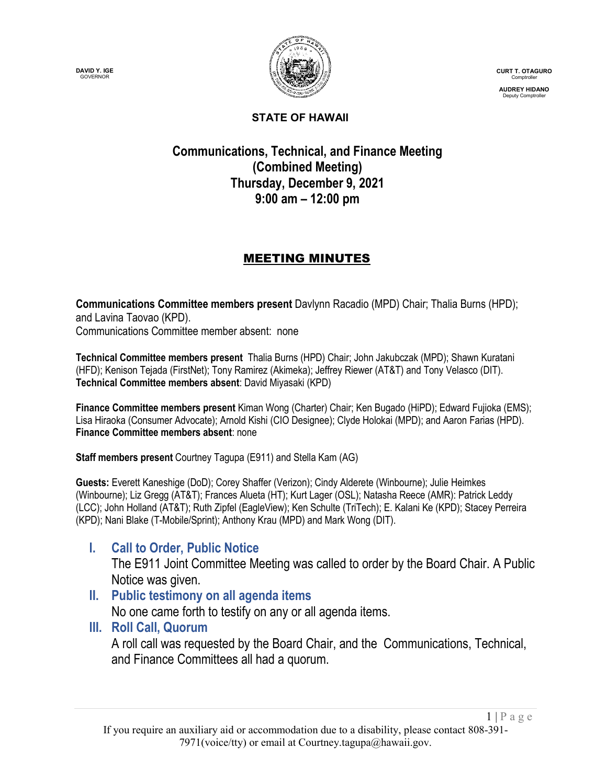**DAVID Y. IGE** GOVERNOR



**CURT T. OTAGURO** Comptroller

**AUDREY HIDANO** Deputy Comptroller

#### **STATE OF HAWAII**

## **Communications, Technical, and Finance Meeting (Combined Meeting) Thursday, December 9, 2021 9:00 am – 12:00 pm**

## MEETING MINUTES

**Communications Committee members present** Davlynn Racadio (MPD) Chair; Thalia Burns (HPD); and Lavina Taovao (KPD). Communications Committee member absent: none

**Technical Committee members present** Thalia Burns (HPD) Chair; John Jakubczak (MPD); Shawn Kuratani (HFD); Kenison Tejada (FirstNet); Tony Ramirez (Akimeka); Jeffrey Riewer (AT&T) and Tony Velasco (DIT). **Technical Committee members absent**: David Miyasaki (KPD)

**Finance Committee members present** Kiman Wong (Charter) Chair; Ken Bugado (HiPD); Edward Fujioka (EMS); Lisa Hiraoka (Consumer Advocate); Arnold Kishi (CIO Designee); Clyde Holokai (MPD); and Aaron Farias (HPD). **Finance Committee members absent**: none

**Staff members present** Courtney Tagupa (E911) and Stella Kam (AG)

**Guests:** Everett Kaneshige (DoD); Corey Shaffer (Verizon); Cindy Alderete (Winbourne); Julie Heimkes (Winbourne); Liz Gregg (AT&T); Frances Alueta (HT); Kurt Lager (OSL); Natasha Reece (AMR): Patrick Leddy (LCC); John Holland (AT&T); Ruth Zipfel (EagleView); Ken Schulte (TriTech); E. Kalani Ke (KPD); Stacey Perreira (KPD); Nani Blake (T-Mobile/Sprint); Anthony Krau (MPD) and Mark Wong (DIT).

## **I. Call to Order, Public Notice**

The E911 Joint Committee Meeting was called to order by the Board Chair. A Public Notice was given.

## **II. Public testimony on all agenda items**

No one came forth to testify on any or all agenda items.

## **III. Roll Call, Quorum**

A roll call was requested by the Board Chair, and the Communications, Technical, and Finance Committees all had a quorum.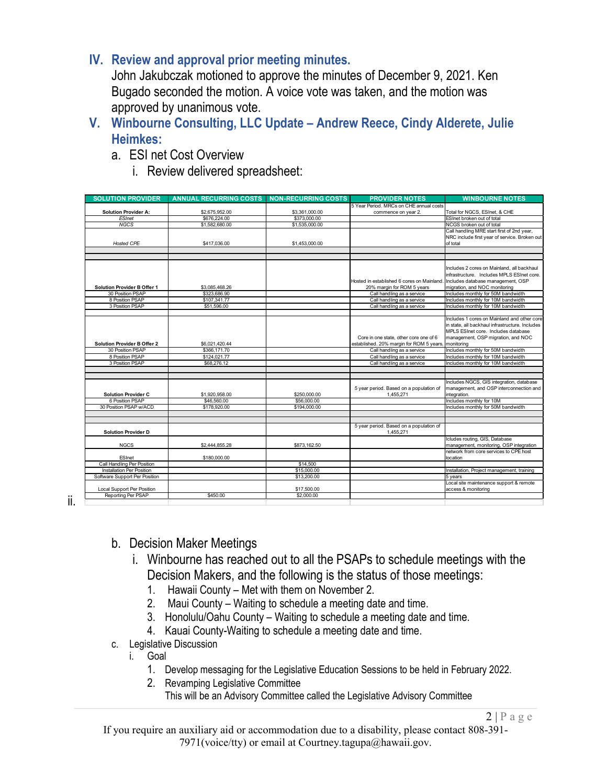## **IV. Review and approval prior meeting minutes.**

John Jakubczak motioned to approve the minutes of December 9, 2021. Ken Bugado seconded the motion. A voice vote was taken, and the motion was approved by unanimous vote.

- **V. Winbourne Consulting, LLC Update – Andrew Reece, Cindy Alderete, Julie Heimkes:**
	- a. ESI net Cost Overview
		- i. Review delivered spreadsheet:

| <b>SOLUTION PROVIDER</b>           | <b>ANNUAL RECURRING COSTS</b> | <b>NON-RECURRING COSTS</b> | <b>PROVIDER NOTES</b>                     | <b>WINBOURNE NOTES</b>                                                            |
|------------------------------------|-------------------------------|----------------------------|-------------------------------------------|-----------------------------------------------------------------------------------|
|                                    |                               |                            | 5 Year Period. MRCs on CHE annual costs   |                                                                                   |
| <b>Solution Provider A:</b>        | \$2,675,952.00                | \$3,361,000.00             | commence on year 2.                       | Total for NGCS, ESInet, & CHE                                                     |
| <b>ESInet</b>                      | \$676,224.00                  | \$373,000.00               |                                           | ESInet broken out of total                                                        |
| <b>NGCS</b>                        | \$1,582,680.00                | \$1,535,000.00             |                                           | NCGS broken out of total                                                          |
|                                    |                               |                            |                                           | Call handling MRE start first of 2nd year,                                        |
|                                    |                               |                            |                                           | NRC include first year of service. Broken out                                     |
| Hosted CPE                         | \$417,036.00                  | \$1,453,000.00             |                                           | of total                                                                          |
|                                    |                               |                            |                                           |                                                                                   |
|                                    |                               |                            |                                           |                                                                                   |
|                                    |                               |                            |                                           |                                                                                   |
|                                    |                               |                            |                                           | Includes 2 cores on Mainland, all backhaul                                        |
|                                    |                               |                            |                                           | infrastructure. Includes MPLS ESInet core.                                        |
|                                    |                               |                            | Hosted in established 6 cores on Mainland | Includes database management, OSP                                                 |
| <b>Solution Provider B Offer 1</b> | \$3.085.468.26                |                            | 20% margin for ROM 5 years                | migration, and NOC monitoring                                                     |
| 30 Position PSAP                   | \$323,686.90                  |                            | Call handling as a service                | Includes monthly for 50M bandwidth                                                |
| 8 Position PSAP                    | \$107,341.77                  |                            | Call handling as a service                | Includes monthly for 10M bandwidth                                                |
| 3 Position PSAP                    | \$51,596.00                   |                            | Call handling as a service                | Includes monthly for 10M bandwidth                                                |
|                                    |                               |                            |                                           |                                                                                   |
|                                    |                               |                            |                                           | Includes 1 cores on Mainland and other core                                       |
|                                    |                               |                            |                                           | in state, all backhaul infrastructure. Includes                                   |
|                                    |                               |                            |                                           | MPLS ESInet core. Includes database                                               |
|                                    |                               |                            | Core in one state, other core one of 6    | management, OSP migration, and NOC                                                |
| <b>Solution Provider B Offer 2</b> | \$6.021.420.44                |                            | established. 20% margin for ROM 5 years   | monitorina                                                                        |
| 30 Position PSAP                   | \$366,171.70                  |                            | Call handling as a service                | Includes monthly for 50M bandwidth                                                |
| 8 Position PSAP                    | \$124,021.77                  |                            | Call handling as a service                | Includes monthly for 10M bandwidth                                                |
| 3 Position PSAP                    | \$68,276.12                   |                            | Call handling as a service                | Includes monthly for 10M bandwidth                                                |
|                                    |                               |                            |                                           |                                                                                   |
|                                    |                               |                            |                                           |                                                                                   |
|                                    |                               |                            |                                           | Includes NGCS, GIS integration, database                                          |
|                                    |                               |                            | 5 year period. Based on a population of   | management, and OSP interconnection and                                           |
| <b>Solution Provider C</b>         | \$1,920,958.00                | \$250,000.00               | 1.455.271                                 | integration.                                                                      |
| 6 Position PSAP                    | \$46,560.00                   | \$56,000.00                |                                           | Includes monthly for 10M                                                          |
| 30 Position PSAP w/ACD             | \$178,920.00                  | \$194,000.00               |                                           | Includes monthly for 50M bandwidth                                                |
|                                    |                               |                            |                                           |                                                                                   |
|                                    |                               |                            |                                           |                                                                                   |
|                                    |                               |                            | 5 year period. Based on a population of   |                                                                                   |
| <b>Solution Provider D</b>         |                               |                            | 1,455,271                                 | Icludes routing, GIS, Database                                                    |
|                                    |                               |                            |                                           |                                                                                   |
| <b>NGCS</b>                        | \$2,444,855.28                | \$873,162.50               |                                           | management, monitoring, OSP integration<br>network from core services to CPE host |
| ESInet                             |                               |                            |                                           | location                                                                          |
| Call Handling Per Position         | \$180,000.00                  | \$14,500                   |                                           |                                                                                   |
| Installation Per Position          |                               | \$15,000.00                |                                           | Installation, Project management, training                                        |
| Software Support Per Position      |                               | \$13,200.00                |                                           | 5 years                                                                           |
|                                    |                               |                            |                                           | Local site maintenance support & remote                                           |
| Local Support Per Position         |                               | \$17,500.00                |                                           | access & monitoring                                                               |
| Reporting Per PSAP                 | \$450.00                      | \$2,000.00                 |                                           |                                                                                   |
|                                    |                               |                            |                                           |                                                                                   |

ii.

- b. Decision Maker Meetings
	- i. Winbourne has reached out to all the PSAPs to schedule meetings with the Decision Makers, and the following is the status of those meetings:
		- 1. Hawaii County Met with them on November 2.
		- 2. Maui County Waiting to schedule a meeting date and time.
		- 3. Honolulu/Oahu County Waiting to schedule a meeting date and time.
		- 4. Kauai County-Waiting to schedule a meeting date and time.
- c. Legislative Discussion
	- i. Goal
		- 1. Develop messaging for the Legislative Education Sessions to be held in February 2022.
		- 2. Revamping Legislative Committee
			- This will be an Advisory Committee called the Legislative Advisory Committee

 $2 | P \text{ a } g \text{ e}$ 

If you require an auxiliary aid or accommodation due to a disability, please contact 808-391- 7971(voice/tty) or email at Courtney.tagupa@hawaii.gov.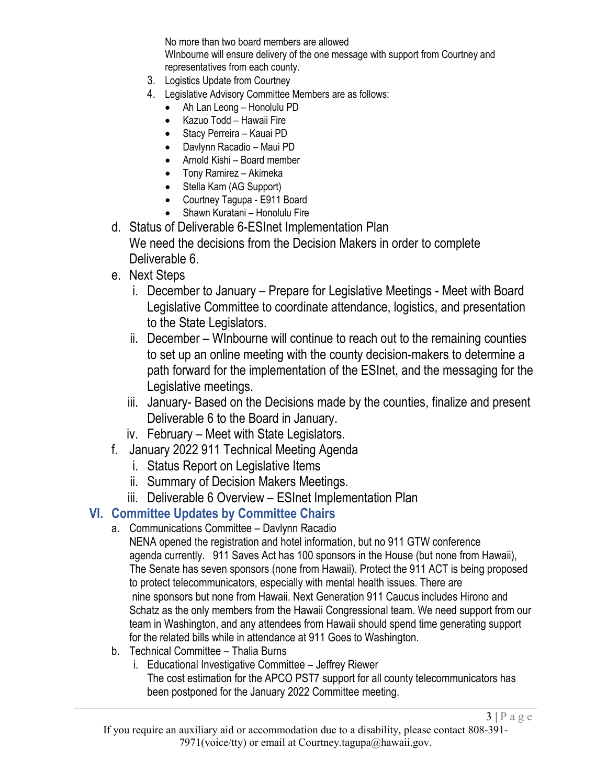No more than two board members are allowed WInbourne will ensure delivery of the one message with support from Courtney and representatives from each county.

- 3. Logistics Update from Courtney
- 4. Legislative Advisory Committee Members are as follows:
	- Ah Lan Leong Honolulu PD
	- Kazuo Todd Hawaii Fire
	- Stacy Perreira Kauai PD
	- Davlynn Racadio Maui PD
	- Arnold Kishi Board member
	- Tony Ramirez Akimeka
	- Stella Kam (AG Support)
	- Courtney Tagupa E911 Board
	- Shawn Kuratani Honolulu Fire
- d. Status of Deliverable 6-ESInet Implementation Plan We need the decisions from the Decision Makers in order to complete Deliverable 6.
- e. Next Steps
	- i. December to January Prepare for Legislative Meetings Meet with Board Legislative Committee to coordinate attendance, logistics, and presentation to the State Legislators.
	- ii. December WInbourne will continue to reach out to the remaining counties to set up an online meeting with the county decision-makers to determine a path forward for the implementation of the ESInet, and the messaging for the Legislative meetings.
	- iii. January- Based on the Decisions made by the counties, finalize and present Deliverable 6 to the Board in January.
	- iv. February Meet with State Legislators.
- f. January 2022 911 Technical Meeting Agenda
	- i. Status Report on Legislative Items
	- ii. Summary of Decision Makers Meetings.
	- iii. Deliverable 6 Overview ESInet Implementation Plan

## **VI. Committee Updates by Committee Chairs**

- a. Communications Committee Davlynn Racadio
	- NENA opened the registration and hotel information, but no 911 GTW conference agenda currently. 911 Saves Act has 100 sponsors in the House (but none from Hawaii), The Senate has seven sponsors (none from Hawaii). Protect the 911 ACT is being proposed to protect telecommunicators, especially with mental health issues. There are nine sponsors but none from Hawaii. Next Generation 911 Caucus includes Hirono and Schatz as the only members from the Hawaii Congressional team. We need support from our team in Washington, and any attendees from Hawaii should spend time generating support for the related bills while in attendance at 911 Goes to Washington.
- b. Technical Committee Thalia Burns
	- i. Educational Investigative Committee Jeffrey Riewer

The cost estimation for the APCO PST7 support for all county telecommunicators has been postponed for the January 2022 Committee meeting.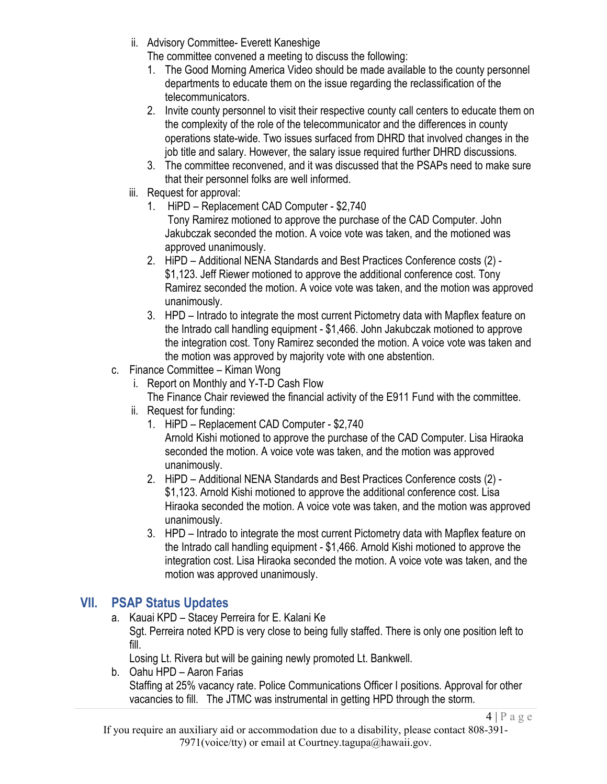ii. Advisory Committee- Everett Kaneshige

The committee convened a meeting to discuss the following:

- 1. The Good Morning America Video should be made available to the county personnel departments to educate them on the issue regarding the reclassification of the telecommunicators.
- 2. Invite county personnel to visit their respective county call centers to educate them on the complexity of the role of the telecommunicator and the differences in county operations state-wide. Two issues surfaced from DHRD that involved changes in the job title and salary. However, the salary issue required further DHRD discussions.
- 3. The committee reconvened, and it was discussed that the PSAPs need to make sure that their personnel folks are well informed.
- iii. Request for approval:
	- 1. HiPD Replacement CAD Computer \$2,740 Tony Ramirez motioned to approve the purchase of the CAD Computer. John Jakubczak seconded the motion. A voice vote was taken, and the motioned was approved unanimously.
	- 2. HiPD Additional NENA Standards and Best Practices Conference costs (2) \$1,123. Jeff Riewer motioned to approve the additional conference cost. Tony Ramirez seconded the motion. A voice vote was taken, and the motion was approved unanimously.
	- 3. HPD Intrado to integrate the most current Pictometry data with Mapflex feature on the Intrado call handling equipment - \$1,466. John Jakubczak motioned to approve the integration cost. Tony Ramirez seconded the motion. A voice vote was taken and the motion was approved by majority vote with one abstention.
- c. Finance Committee Kiman Wong
	- i. Report on Monthly and Y-T-D Cash Flow The Finance Chair reviewed the financial activity of the E911 Fund with the committee.
	- ii. Request for funding:
		- 1. HiPD Replacement CAD Computer \$2,740
			- Arnold Kishi motioned to approve the purchase of the CAD Computer. Lisa Hiraoka seconded the motion. A voice vote was taken, and the motion was approved unanimously.
		- 2. HiPD Additional NENA Standards and Best Practices Conference costs (2) \$1,123. Arnold Kishi motioned to approve the additional conference cost. Lisa Hiraoka seconded the motion. A voice vote was taken, and the motion was approved unanimously.
		- 3. HPD Intrado to integrate the most current Pictometry data with Mapflex feature on the Intrado call handling equipment - \$1,466. Arnold Kishi motioned to approve the integration cost. Lisa Hiraoka seconded the motion. A voice vote was taken, and the motion was approved unanimously.

# **VII. PSAP Status Updates**

a. Kauai KPD – Stacey Perreira for E. Kalani Ke Sgt. Perreira noted KPD is very close to being fully staffed. There is only one position left to fill.

Losing Lt. Rivera but will be gaining newly promoted Lt. Bankwell.

b. Oahu HPD – Aaron Farias Staffing at 25% vacancy rate. Police Communications Officer I positions. Approval for other vacancies to fill. The JTMC was instrumental in getting HPD through the storm.